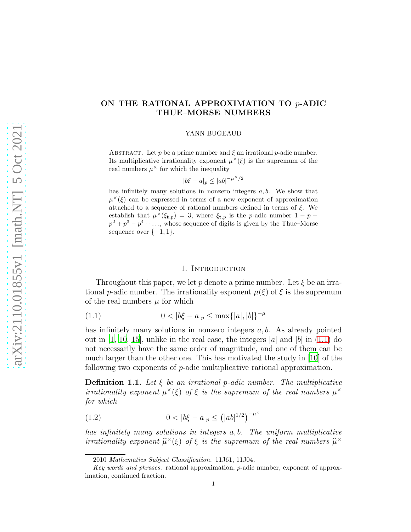# ON THE RATIONAL APPROXIMATION TO p-ADIC THUE–MORSE NUMBERS

#### YANN BUGEAUD

ABSTRACT. Let p be a prime number and  $\xi$  an irrational p-adic number. Its multiplicative irrationality exponent  $\mu^{\times}(\xi)$  is the supremum of the real numbers  $\mu^{\times}$  for which the inequality

$$
|b\xi - a|_p \le |ab|^{-\mu^\times/2}
$$

has infinitely many solutions in nonzero integers  $a, b$ . We show that  $\mu^{\times}(\xi)$  can be expressed in terms of a new exponent of approximation attached to a sequence of rational numbers defined in terms of  $\xi$ . We establish that  $\mu^{\chi}(\xi_{t,p}) = 3$ , where  $\xi_{t,p}$  is the p-adic number  $1 - p$  $p^2 + p^3 - p^4 + \ldots$ , whose sequence of digits is given by the Thue–Morse sequence over  $\{-1, 1\}.$ 

#### <span id="page-0-0"></span>1. Introduction

Throughout this paper, we let p denote a prime number. Let  $\xi$  be an irrational p-adic number. The irrationality exponent  $\mu(\xi)$  of  $\xi$  is the supremum of the real numbers  $\mu$  for which

(1.1) 
$$
0 < |b\xi - a|_p \le \max\{|a|, |b|\}^{-\mu}
$$

has infinitely many solutions in nonzero integers  $a, b$ . As already pointed out in [\[1](#page-22-0), [10](#page-23-0), [15\]](#page-23-1), unlike in the real case, the integers  $|a|$  and  $|b|$  in [\(1.1\)](#page-0-0) do not necessarily have the same order of magnitude, and one of them can be much larger than the other one. This has motivated the study in [\[10\]](#page-23-0) of the following two exponents of p-adic multiplicative rational approximation.

**Definition 1.1.** Let  $\xi$  be an irrational p-adic number. The multiplicative irrationality exponent  $\mu^{\times}(\xi)$  of  $\xi$  is the supremum of the real numbers  $\mu^{\times}$ for which

<span id="page-0-1"></span>(1.2) 
$$
0 < |b\xi - a|_p \le (|ab|^{1/2})^{-\mu^\times}
$$

has infinitely many solutions in integers a, b. The uniform multiplicative irrationality exponent  $\widehat{\mu}^{\times}(\xi)$  of  $\xi$  is the supremum of the real numbers  $\widehat{\mu}^{\times}$ 

<sup>2010</sup> Mathematics Subject Classification. 11J61, 11J04.

Key words and phrases. rational approximation, p-adic number, exponent of approximation, continued fraction.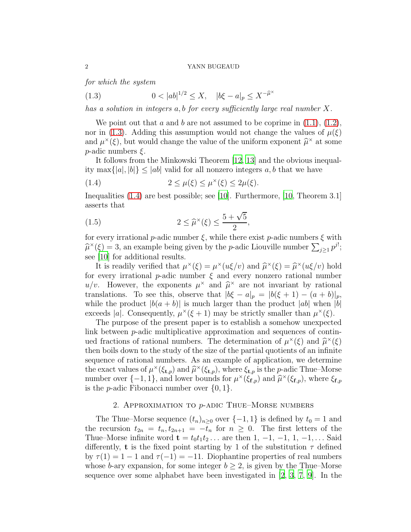for which the system

<span id="page-1-0"></span>(1.3)  $0 < |ab|^{1/2} \le X$ ,  $|b\xi - a|_p \le X^{-\widehat{\mu}^{\times}}$ 

has a solution in integers a, b for every sufficiently large real number X.

We point out that  $a$  and  $b$  are not assumed to be coprime in  $(1.1)$ ,  $(1.2)$ , nor in [\(1.3\)](#page-1-0). Adding this assumption would not change the values of  $\mu(\xi)$ and  $\mu^{\times}(\xi)$ , but would change the value of the uniform exponent  $\hat{\mu}^{\times}$  at some  $p$ -adic numbers  $\xi$ .

It follows from the Minkowski Theorem [\[12](#page-23-2), [13\]](#page-23-3) and the obvious inequality max $\{|a|, |b|\} \leq |ab|$  valid for all nonzero integers a, b that we have

<span id="page-1-1"></span>(1.4) 
$$
2 \leq \mu(\xi) \leq \mu^{\times}(\xi) \leq 2\mu(\xi).
$$

Inequalities [\(1.4\)](#page-1-1) are best possible; see [\[10\]](#page-23-0). Furthermore, [\[10,](#page-23-0) Theorem 3.1] asserts that

<span id="page-1-2"></span>(1.5) 
$$
2 \leq \widehat{\mu}^{\times}(\xi) \leq \frac{5 + \sqrt{5}}{2},
$$

for every irrational p-adic number  $\xi$ , while there exist p-adic numbers  $\xi$  with  $\hat{\mu}^{\times}(\xi) = 3$ , an example being given by the *p*-adic Liouville number  $\sum_{j\geq 1} p^{j!}$ ; see [\[10\]](#page-23-0) for additional results.

It is readily verified that  $\mu^{\times}(\xi) = \mu^{\times}(u\xi/v)$  and  $\widehat{\mu}^{\times}(\xi) = \widehat{\mu}^{\times}(u\xi/v)$  hold for every irrational p-adic number  $\xi$  and every nonzero rational number  $u/v$ . However, the exponents  $\mu^{\times}$  and  $\widehat{\mu}^{\times}$  are not invariant by rational translations. To see this, observe that  $|b\xi - a|_p = |b(\xi + 1) - (a + b)|_p$ , while the product  $|b(a + b)|$  is much larger than the product  $|ab|$  when  $|b|$ exceeds |a|. Consequently,  $\mu^{\times}(\xi + 1)$  may be strictly smaller than  $\mu^{\times}(\xi)$ .

The purpose of the present paper is to establish a somehow unexpected link between p-adic multiplicative approximation and sequences of continued fractions of rational numbers. The determination of  $\mu^{\times}(\xi)$  and  $\hat{\mu}^{\times}(\xi)$ then boils down to the study of the size of the partial quotients of an infinite sequence of rational numbers. As an example of application, we determine the exact values of  $\mu^{\times}(\xi_{t,p})$  and  $\widehat{\mu}^{\times}(\xi_{t,p})$ , where  $\xi_{t,p}$  is the p-adic Thue–Morse number over  $\{-1, 1\}$ , and lower bounds for  $\mu^{\times}(\xi_{f,p})$  and  $\widehat{\mu}^{\times}(\xi_{f,p})$ , where  $\xi_{f,p}$ is the *p*-adic Fibonacci number over  $\{0, 1\}$ .

## 2. APPROXIMATION TO  $p$ -ADIC THUE–MORSE NUMBERS

The Thue–Morse sequence  $(t_n)_{n>0}$  over  $\{-1,1\}$  is defined by  $t_0 = 1$  and the recursion  $t_{2n} = t_n, t_{2n+1} = -t_n$  for  $n \geq 0$ . The first letters of the Thue–Morse infinite word  $\mathbf{t} = t_0 t_1 t_2 \dots$  are then 1, -1, -1, 1, -1, ... Said differently, **t** is the fixed point starting by 1 of the substitution  $\tau$  defined by  $\tau(1) = 1 - 1$  and  $\tau(-1) = -11$ . Diophantine properties of real numbers whose b-ary expansion, for some integer  $b \geq 2$ , is given by the Thue–Morse sequence over some alphabet have been investigated in  $[2, 3, 7, 9]$  $[2, 3, 7, 9]$  $[2, 3, 7, 9]$  $[2, 3, 7, 9]$  $[2, 3, 7, 9]$ . In the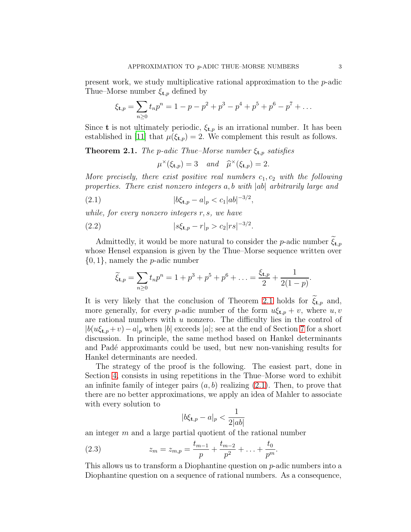present work, we study multiplicative rational approximation to the p-adic Thue–Morse number  $\xi_{t,p}$  defined by

$$
\xi_{t,p} = \sum_{n\geq 0} t_n p^n = 1 - p - p^2 + p^3 - p^4 + p^5 + p^6 - p^7 + \dots
$$

Since **t** is not ultimately periodic,  $\xi_{t,p}$  is an irrational number. It has been established in [\[11](#page-23-5)] that  $\mu(\xi_{t,p}) = 2$ . We complement this result as follows.

<span id="page-2-0"></span>**Theorem 2.1.** The p-adic Thue–Morse number  $\xi_{t,p}$  satisfies

<span id="page-2-2"></span><span id="page-2-1"></span> $\mu^{\times}(\xi_{\mathbf{t},p}) = 3$  and  $\widehat{\mu}^{\times}(\xi_{\mathbf{t},p}) = 2.$ 

More precisely, there exist positive real numbers  $c_1, c_2$  with the following properties. There exist nonzero integers a, b with |ab| arbitrarily large and

(2.1) 
$$
|b\xi_{t,p} - a|_p < c_1|ab|^{-3/2},
$$

while, for every nonzero integers r, s, we have

(2.2) 
$$
|s\xi_{t,p} - r|_p > c_2 |rs|^{-3/2}.
$$

Admittedly, it would be more natural to consider the *p*-adic number  $\xi_{\mathbf{t},p}$ whose Hensel expansion is given by the Thue–Morse sequence written over  $\{0, 1\}$ , namely the *p*-adic number

$$
\widetilde{\xi}_{\mathbf{t},p} = \sum_{n\geq 0} t_n p^n = 1 + p^3 + p^5 + p^6 + \ldots = \frac{\xi_{\mathbf{t},p}}{2} + \frac{1}{2(1-p)}.
$$

It is very likely that the conclusion of Theorem [2.1](#page-2-0) holds for  $\tilde{\xi}_{t,p}$  and, more generally, for every *p*-adic number of the form  $u\xi_{t,p} + v$ , where  $u, v$ are rational numbers with  $u$  nonzero. The difficulty lies in the control of  $|b(u\xi_{t,p}+v)-a|_p$  when  $|b|$  exceeds  $|a|$ ; see at the end of Section [7](#page-17-0) for a short discussion. In principle, the same method based on Hankel determinants and Padé approximants could be used, but new non-vanishing results for Hankel determinants are needed.

The strategy of the proof is the following. The easiest part, done in Section [4,](#page-10-0) consists in using repetitions in the Thue–Morse word to exhibit an infinite family of integer pairs  $(a, b)$  realizing  $(2.1)$ . Then, to prove that there are no better approximations, we apply an idea of Mahler to associate with every solution to

<span id="page-2-3"></span>
$$
|b\xi_{\mathbf{t},p} - a|_p < \frac{1}{2|ab|}
$$

an integer  $m$  and a large partial quotient of the rational number

(2.3) 
$$
z_m = z_{m,p} = \frac{t_{m-1}}{p} + \frac{t_{m-2}}{p^2} + \ldots + \frac{t_0}{p^m}.
$$

This allows us to transform a Diophantine question on  $p$ -adic numbers into a Diophantine question on a sequence of rational numbers. As a consequence,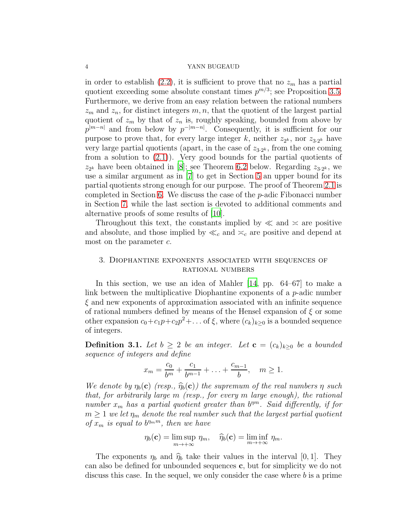in order to establish [\(2.2\)](#page-2-2), it is sufficient to prove that no  $z_m$  has a partial quotient exceeding some absolute constant times  $p^{m/3}$ ; see Proposition [3.5.](#page-9-0) Furthermore, we derive from an easy relation between the rational numbers  $z<sub>m</sub>$  and  $z<sub>n</sub>$ , for distinct integers  $m, n$ , that the quotient of the largest partial quotient of  $z_m$  by that of  $z_n$  is, roughly speaking, bounded from above by  $p^{|m-n|}$  and from below by  $p^{-|m-n|}$ . Consequently, it is sufficient for our purpose to prove that, for every large integer k, neither  $z_{2^k}$ , nor  $z_{3\cdot2^k}$  have very large partial quotients (apart, in the case of  $z_{3\cdot2^k}$ , from the one coming from a solution to  $(2.1)$ ). Very good bounds for the partial quotients of  $z_{2^k}$  have been obtained in [\[8\]](#page-22-4); see Theorem [6.2](#page-16-0) below. Regarding  $z_{3\cdot2^k}$ , we use a similar argument as in [\[7\]](#page-22-3) to get in Section [5](#page-12-0) an upper bound for its partial quotients strong enough for our purpose. The proof of Theorem [2.1](#page-2-0) is completed in Section [6.](#page-15-0) We discuss the case of the  $p$ -adic Fibonacci number in Section [7,](#page-17-0) while the last section is devoted to additional comments and alternative proofs of some results of [\[10\]](#page-23-0).

Throughout this text, the constants implied by  $\ll$  and  $\approx$  are positive and absolute, and those implied by  $\ll_c$  and  $\gtrsim_c$  are positive and depend at most on the parameter c.

# <span id="page-3-1"></span>3. Diophantine exponents associated with sequences of rational numbers

In this section, we use an idea of Mahler [\[14,](#page-23-6) pp. 64–67] to make a link between the multiplicative Diophantine exponents of a  $p$ -adic number  $\xi$  and new exponents of approximation associated with an infinite sequence of rational numbers defined by means of the Hensel expansion of  $\xi$  or some other expansion  $c_0 + c_1 p + c_2 p^2 + \dots$  of  $\xi$ , where  $(c_k)_{k \geq 0}$  is a bounded sequence of integers.

<span id="page-3-0"></span>**Definition 3.1.** Let  $b \geq 2$  be an integer. Let  $\mathbf{c} = (c_k)_{k \geq 0}$  be a bounded sequence of integers and define

$$
x_m = \frac{c_0}{b^m} + \frac{c_1}{b^{m-1}} + \ldots + \frac{c_{m-1}}{b}, \quad m \ge 1.
$$

We denote by  $\eta_b(c)$  (resp.,  $\widehat{\eta}_b(c)$ ) the supremum of the real numbers  $\eta$  such that, for arbitrarily large m (resp., for every m large enough), the rational number  $x_m$  has a partial quotient greater than  $b^{mn}$ . Said differently, if for  $m \geq 1$  we let  $\eta_m$  denote the real number such that the largest partial quotient of  $x_m$  is equal to  $b^{n_m m}$ , then we have

$$
\eta_b(\mathbf{c}) = \limsup_{m \to +\infty} \eta_m, \quad \widehat{\eta}_b(\mathbf{c}) = \liminf_{m \to +\infty} \eta_m.
$$

The exponents  $\eta_b$  and  $\hat{\eta}_b$  take their values in the interval [0, 1]. They can also be defined for unbounded sequences c, but for simplicity we do not discuss this case. In the sequel, we only consider the case where b is a prime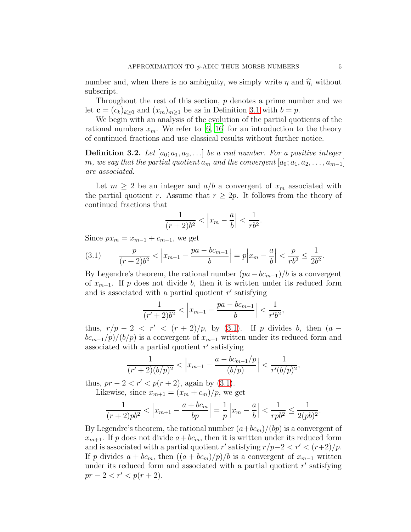number and, when there is no ambiguity, we simply write  $\eta$  and  $\hat{\eta}$ , without subscript.

Throughout the rest of this section, p denotes a prime number and we let  $\mathbf{c} = (c_k)_{k>0}$  and  $(x_m)_{m>1}$  be as in Definition [3.1](#page-3-0) with  $b = p$ .

We begin with an analysis of the evolution of the partial quotients of the rational numbers  $x_m$ . We refer to [\[6](#page-22-5), [16](#page-23-7)] for an introduction to the theory of continued fractions and use classical results without further notice.

**Definition 3.2.** Let  $[a_0; a_1, a_2, \ldots]$  be a real number. For a positive integer m, we say that the partial quotient  $a_m$  and the convergent  $[a_0; a_1, a_2, \ldots, a_{m-1}]$ are associated.

Let  $m \geq 2$  be an integer and  $a/b$  a convergent of  $x_m$  associated with the partial quotient r. Assume that  $r \geq 2p$ . It follows from the theory of continued fractions that

$$
\frac{1}{(r+2)b^2} < \left| x_m - \frac{a}{b} \right| < \frac{1}{rb^2}.
$$

Since  $px_m = x_{m-1} + c_{m-1}$ , we get

<span id="page-4-0"></span>
$$
(3.1) \qquad \frac{p}{(r+2)b^2} < \left| x_{m-1} - \frac{pa - bc_{m-1}}{b} \right| = p \left| x_m - \frac{a}{b} \right| < \frac{p}{rb^2} \le \frac{1}{2b^2}.
$$

By Legendre's theorem, the rational number  $(pa - bc_{m-1})/b$  is a convergent of  $x_{m-1}$ . If p does not divide b, then it is written under its reduced form and is associated with a partial quotient  $r'$  satisfying

$$
\frac{1}{(r'+2)b^2} < \left| x_{m-1} - \frac{pa - bc_{m-1}}{b} \right| < \frac{1}{r'b^2},
$$

thus,  $r/p-2 < r' < (r+2)/p$ , by [\(3.1\)](#page-4-0). If p divides b, then  $(a$  $bc_{m-1}/p$ /(b/p) is a convergent of  $x_{m-1}$  written under its reduced form and associated with a partial quotient  $r'$  satisfying

$$
\frac{1}{(r'+2)(b/p)^2} < \left| x_{m-1} - \frac{a - bc_{m-1}/p}{(b/p)} \right| < \frac{1}{r'(b/p)^2},
$$

thus,  $pr - 2 < r' < p(r + 2)$ , again by [\(3.1\)](#page-4-0).

Likewise, since  $x_{m+1} = (x_m + c_m)/p$ , we get

$$
\frac{1}{(r+2)pb^2} < \left| x_{m+1} - \frac{a + bc_m}{bp} \right| = \frac{1}{p} \left| x_m - \frac{a}{b} \right| < \frac{1}{rpb^2} \le \frac{1}{2(pb)^2}.
$$

By Legendre's theorem, the rational number  $(a+bc_m)/(bp)$  is a convergent of  $x_{m+1}$ . If p does not divide  $a+bc_m$ , then it is written under its reduced form and is associated with a partial quotient r' satisfying  $r/p-2 < r' < (r+2)/p$ . If p divides  $a + bc_m$ , then  $((a + bc_m)/p)/b$  is a convergent of  $x_{m-1}$  written under its reduced form and associated with a partial quotient  $r'$  satisfying  $pr - 2 < r' < p(r + 2).$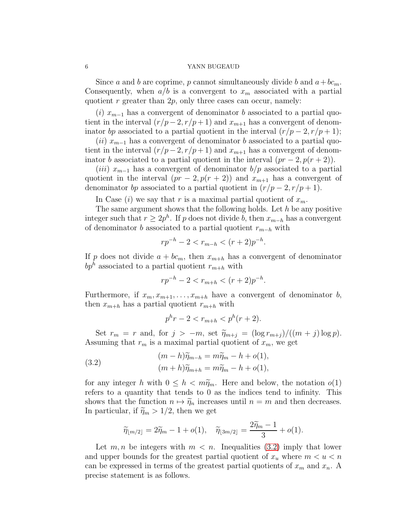Since a and b are coprime, p cannot simultaneously divide b and  $a+bc_m$ . Consequently, when  $a/b$  is a convergent to  $x_m$  associated with a partial quotient r greater than  $2p$ , only three cases can occur, namely:

(i)  $x_{m-1}$  has a convergent of denominator b associated to a partial quotient in the interval  $(r/p-2, r/p+1)$  and  $x_{m+1}$  has a convergent of denominator bp associated to a partial quotient in the interval  $(r/p-2, r/p+1);$ 

 $(ii)$   $x_{m-1}$  has a convergent of denominator b associated to a partial quotient in the interval  $(r/p-2, r/p+1)$  and  $x_{m+1}$  has a convergent of denominator b associated to a partial quotient in the interval  $(pr-2, p(r+2))$ .

 $(iii)$   $x_{m-1}$  has a convergent of denominator  $b/p$  associated to a partial quotient in the interval  $(pr-2, p(r+2))$  and  $x_{m+1}$  has a convergent of denominator bp associated to a partial quotient in  $(r/p-2, r/p+1)$ .

In Case (i) we say that r is a maximal partial quotient of  $x_m$ .

The same argument shows that the following holds. Let  $h$  be any positive integer such that  $r \geq 2p^h$ . If p does not divide b, then  $x_{m-h}$  has a convergent of denominator b associated to a partial quotient  $r_{m-h}$  with

$$
rp^{-h} - 2 < r_{m-h} < (r+2)p^{-h}.
$$

If p does not divide  $a + bc_m$ , then  $x_{m+h}$  has a convergent of denominator  $bp^{h}$  associated to a partial quotient  $r_{m+h}$  with

$$
rp^{-h} - 2 < r_{m+h} < (r+2)p^{-h}.
$$

Furthermore, if  $x_m, x_{m+1}, \ldots, x_{m+h}$  have a convergent of denominator b, then  $x_{m+h}$  has a partial quotient  $r_{m+h}$  with

<span id="page-5-0"></span>
$$
p^h r - 2 < r_{m+h} < p^h (r+2).
$$

Set  $r_m = r$  and, for  $j > -m$ , set  $\widetilde{\eta}_{m+j} = (\log r_{m+j})/((m+j) \log p)$ . Assuming that  $r_m$  is a maximal partial quotient of  $x_m$ , we get

(3.2) 
$$
(m-h)\widetilde{\eta}_{m-h} = m\widetilde{\eta}_m - h + o(1),
$$

$$
(m+h)\widetilde{\eta}_{m+h} = m\widetilde{\eta}_m - h + o(1),
$$

for any integer h with  $0 \leq h < m\tilde{\eta}_m$ . Here and below, the notation  $o(1)$ refers to a quantity that tends to 0 as the indices tend to infinity. This shows that the function  $n \mapsto \tilde{\eta}_n$  increases until  $n = m$  and then decreases. In particular, if  $\tilde{\eta}_m > 1/2$ , then we get

$$
\widetilde{\eta}_{\lfloor m/2 \rfloor} = 2\widetilde{\eta}_m - 1 + o(1), \quad \widetilde{\eta}_{\lfloor 3m/2 \rfloor} = \frac{2\widetilde{\eta}_m - 1}{3} + o(1).
$$

Let  $m, n$  be integers with  $m < n$ . Inequalities [\(3.2\)](#page-5-0) imply that lower and upper bounds for the greatest partial quotient of  $x_u$  where  $m < u < n$ can be expressed in terms of the greatest partial quotients of  $x_m$  and  $x_n$ . A precise statement is as follows.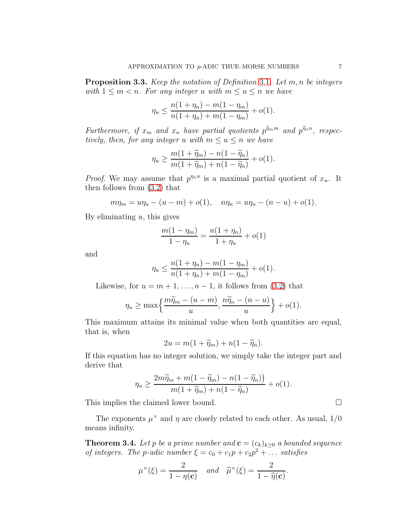<span id="page-6-1"></span>**Proposition 3.3.** Keep the notation of Definition [3.1](#page-3-0). Let  $m, n$  be integers with  $1 \leq m < n$ . For any integer u with  $m \leq u \leq n$  we have

$$
\eta_u \le \frac{n(1+\eta_n) - m(1-\eta_m)}{n(1+\eta_n) + m(1-\eta_m)} + o(1).
$$

Furthermore, if  $x_m$  and  $x_n$  have partial quotients  $\tilde{p^{m_m}}$  and  $\tilde{p^{m_n}}$ , respectively, then, for any integer u with  $m \le u \le n$  we have

$$
\eta_u \ge \frac{m(1+\widetilde{\eta}_m)-n(1-\widetilde{\eta}_n)}{m(1+\widetilde{\eta}_m)+n(1-\widetilde{\eta}_n)}+o(1).
$$

*Proof.* We may assume that  $p^{n_u}$  is a maximal partial quotient of  $x_u$ . It then follows from [\(3.2\)](#page-5-0) that

$$
m\eta_m = u\eta_u - (u - m) + o(1), \quad n\eta_n = u\eta_u - (n - u) + o(1).
$$

By eliminating  $u$ , this gives

$$
\frac{m(1-\eta_m)}{1-\eta_u} = \frac{n(1+\eta_n)}{1+\eta_u} + o(1)
$$

and

$$
\eta_u \le \frac{n(1+\eta_n) - m(1-\eta_m)}{n(1+\eta_n) + m(1-\eta_m)} + o(1).
$$

Likewise, for  $u = m + 1, \ldots, n - 1$ , it follows from [\(3.2\)](#page-5-0) that

$$
\eta_u \ge \max\left\{\frac{m\widetilde{\eta}_m - (u-m)}{u}, \frac{n\widetilde{\eta}_n - (n-u)}{u}\right\} + o(1).
$$

This maximum attains its minimal value when both quantities are equal, that is, when

$$
2u = m(1 + \widetilde{\eta}_m) + n(1 - \widetilde{\eta}_n).
$$

If this equation has no integer solution, we simply take the integer part and derive that

$$
\eta_u \ge \frac{2m\widetilde{\eta}_m + m(1 - \widetilde{\eta}_m) - n(1 - \widetilde{\eta}_n))}{m(1 + \widetilde{\eta}_m) + n(1 - \widetilde{\eta}_n)} + o(1).
$$

This implies the claimed lower bound.

The exponents  $\mu^{\times}$  and  $\eta$  are closely related to each other. As usual,  $1/0$ means infinity.

<span id="page-6-0"></span>**Theorem 3.4.** Let p be a prime number and  $\mathbf{c} = (c_k)_{k>0}$  a bounded sequence of integers. The p-adic number  $\xi = c_0 + c_1 p + c_2 p^2 + \dots$  satisfies

$$
\mu^{\times}(\xi) = \frac{2}{1 - \eta(\mathbf{c})} \quad and \quad \widehat{\mu}^{\times}(\xi) = \frac{2}{1 - \widehat{\eta}(\mathbf{c})}.
$$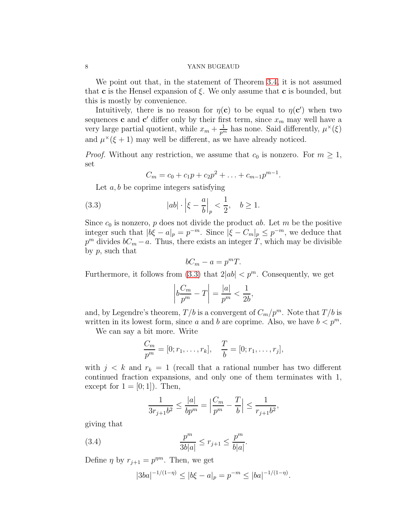We point out that, in the statement of Theorem [3.4,](#page-6-0) it is not assumed that **c** is the Hensel expansion of  $\xi$ . We only assume that **c** is bounded, but this is mostly by convenience.

Intuitively, there is no reason for  $\eta(c)$  to be equal to  $\eta(c')$  when two sequences **c** and **c'** differ only by their first term, since  $x_m$  may well have a very large partial quotient, while  $x_m + \frac{1}{p^m}$  has none. Said differently,  $\mu^{\times}(\xi)$ and  $\mu^{\times}(\xi+1)$  may well be different, as we have already noticed.

*Proof.* Without any restriction, we assume that  $c_0$  is nonzero. For  $m \geq 1$ , set

<span id="page-7-0"></span>
$$
C_m = c_0 + c_1 p + c_2 p^2 + \ldots + c_{m-1} p^{m-1}.
$$

Let  $a, b$  be coprime integers satisfying

(3.3) 
$$
|ab| \cdot \left|\xi - \frac{a}{b}\right|_p < \frac{1}{2}, \quad b \ge 1.
$$

Since  $c_0$  is nonzero, p does not divide the product ab. Let m be the positive integer such that  $|b\xi - a|_p = p^{-m}$ . Since  $|\xi - C_m|_p \leq p^{-m}$ , we deduce that  $p^m$  divides  $bC_m - a$ . Thus, there exists an integer T, which may be divisible by p, such that

$$
bC_m - a = p^m T.
$$

Furthermore, it follows from [\(3.3\)](#page-7-0) that  $2|ab| < p^m$ . Consequently, we get

$$
\left|b\frac{C_m}{p^m}-T\right|=\frac{|a|}{p^m}<\frac{1}{2b},
$$

and, by Legendre's theorem,  $T/b$  is a convergent of  $C_m/p^m$ . Note that  $T/b$  is written in its lowest form, since a and b are coprime. Also, we have  $b < p^m$ .

We can say a bit more. Write

$$
\frac{C_m}{p^m} = [0; r_1, \dots, r_k], \quad \frac{T}{b} = [0; r_1, \dots, r_j],
$$

with  $j < k$  and  $r_k = 1$  (recall that a rational number has two different continued fraction expansions, and only one of them terminates with 1, except for  $1 = \vert 0; 1 \vert$ ). Then,

<span id="page-7-1"></span>
$$
\frac{1}{3r_{j+1}b^2} \le \frac{|a|}{bp^m} = \left|\frac{C_m}{p^m} - \frac{T}{b}\right| \le \frac{1}{r_{j+1}b^2},
$$

giving that

(3.4) 
$$
\frac{p^m}{3b|a|} \le r_{j+1} \le \frac{p^m}{b|a|}.
$$

Define  $\eta$  by  $r_{j+1} = p^{\eta m}$ . Then, we get

$$
|3ba|^{-1/(1-\eta)} \le |b\xi - a|_p = p^{-m} \le |ba|^{-1/(1-\eta)}.
$$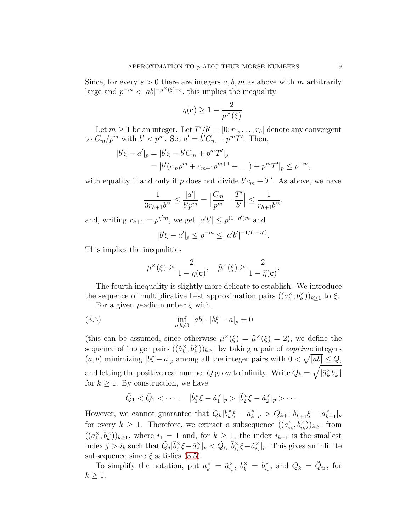Since, for every  $\varepsilon > 0$  there are integers a, b, m as above with m arbitrarily large and  $p^{-m} < |ab|^{-\mu^{\times}(\xi)+\varepsilon}$ , this implies the inequality

$$
\eta(\mathbf{c}) \ge 1 - \frac{2}{\mu^{\times}(\xi)}.
$$

Let  $m \geq 1$  be an integer. Let  $T'/b' = [0; r_1, \ldots, r_h]$  denote any convergent to  $C_m/p^m$  with  $b' < p^m$ . Set  $a' = b'C_m - p^mT'$ . Then,

$$
|b'\xi - a'|_p = |b'\xi - b'C_m + p^mT'|_p
$$
  
= |b'(c\_m p^m + c\_{m+1} p^{m+1} + ...) + p^mT'|\_p \le p^{-m},

with equality if and only if p does not divide  $b'c_m + T'$ . As above, we have

$$
\frac{1}{3r_{h+1}b'^2} \le \frac{|a'|}{b'p^m} = \left|\frac{C_m}{p^m} - \frac{T'}{b'}\right| \le \frac{1}{r_{h+1}b'^2},
$$

and, writing  $r_{h+1} = p^{\eta' m}$ , we get  $|a'b'| \leq p^{(1-\eta')m}$  and

$$
|b'\xi - a'|_p \le p^{-m} \le |a'b'|^{-1/(1-\eta')}.
$$

This implies the inequalities

<span id="page-8-0"></span>
$$
\mu^{\times}(\xi) \ge \frac{2}{1 - \eta(\mathbf{c})}, \quad \widehat{\mu}^{\times}(\xi) \ge \frac{2}{1 - \widehat{\eta}(\mathbf{c})}.
$$

The fourth inequality is slightly more delicate to establish. We introduce the sequence of multiplicative best approximation pairs  $((a_k^{\times})$  $(\mathbf{k}^{\times}, b_{k}^{\times})_{k \geq 1}$  to  $\xi$ .

For a given *p*-adic number  $\xi$  with

(3.5) 
$$
\inf_{a,b\neq 0} |ab| \cdot |b\xi - a|_p = 0
$$

(this can be assumed, since otherwise  $\mu^{\times}(\xi) = \widehat{\mu}^{\times}(\xi) = 2$ ), we define the sequence of integer pairs  $((\tilde{a}_k^{\times})$  $_{k}^{\times},\tilde{b}_{k}^{\times}$  $(\binom{\times}{k})_{k\geq 1}$  by taking a pair of *coprime* integers  $(a, b)$  minimizing  $|b\xi - a|_p$  among all the integer pairs with  $0 < \sqrt{|ab|} \leq Q$ , and letting the positive real number  $Q$  grow to infinity. Write  $\tilde{Q}_k =$  $\sqrt{ }$  $|\tilde{a}^{\times}_k$  $_{k}^{\times}\tilde{b}_{k}^{\times}$  $\int_{k}$ for  $k \geq 1$ . By construction, we have

$$
\tilde{Q}_1 < \tilde{Q}_2 < \cdots, \quad |\tilde{b}_1^\times \xi - \tilde{a}_1^\times|_p > |\tilde{b}_2^\times \xi - \tilde{a}_2^\times|_p > \cdots.
$$

However, we cannot guarantee that  $\tilde{Q}_k | \tilde{b}_k^{\times}$  $\tilde{a}_k^{\times} \xi - \tilde{a}_k^{\times}$  $\|k\|_p > \tilde{Q}_{k+1} |\tilde{b}^{\times}_{k+1}\xi - \tilde{a}^{\times}_{k+1}|_p$ for every  $k \geq 1$ . Therefore, we extract a subsequence  $((\tilde{a}_{i_k}^{\times})$  $_{i_{k}}^{\times},\tilde{b}_{i_{k}}^{\times}$  $\binom{x}{i_k}$ <sub> $k\geq 1$ </sub> from  $\left(\left(\tilde{a}_{k}^{\times}\right)\right)$  $_{k}^{\times},\tilde{b}_{k}^{\times}$  $(k)$ <sub>k</sub> $(k)$ <sub>k</sub> $\geq$ 1, where  $i_1 = 1$  and, for  $k \geq 1$ , the index  $i_{k+1}$  is the smallest index  $j > i_k$  such that  $\tilde{Q}_j | \tilde{b}_j^{\times}$  $\check{j}$ ξ− $\tilde{a}^{\times}_{j}$  $_{j}^{\times}|_{p}<\tilde{Q}_{i_{k}}|\tilde{b}_{i_{k}}^{\times}|$  $\tilde{a}_k^{\times} \xi - \tilde{a}_{i_k}^{\times}$  $\chi_{i_k}^{\times}|_p$ . This gives an infinite subsequence since  $\xi$  satisfies [\(3.5\)](#page-8-0).

To simplify the notation, put  $a_k^{\times} = \tilde{a}_{i_k}^{\times}$  $\check{i}_k, b_k^\times = \tilde{b}_{i_k}^\times$  $\check{i_k}$ , and  $Q_k = \tilde{Q}_{i_k}$ , for  $k \geq 1$ .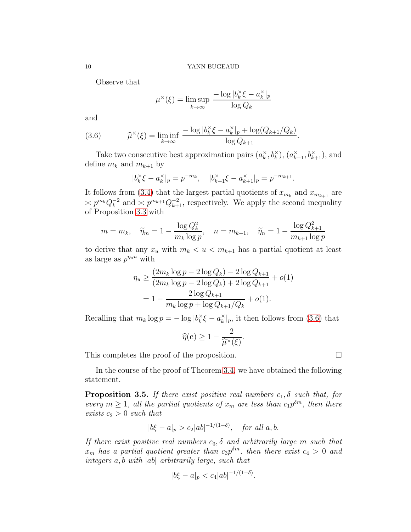Observe that

$$
\mu^{\times}(\xi) = \limsup_{k \to \infty} \frac{-\log |b_k^{\times}\xi - a_k^{\times}|_p}{\log Q_k}
$$

and

<span id="page-9-1"></span>(3.6) 
$$
\widehat{\mu}^{\times}(\xi) = \liminf_{k \to \infty} \frac{-\log |b_k^{\times}\xi - a_k^{\times}|_p + \log(Q_{k+1}/Q_k)}{\log Q_{k+1}}.
$$

Take two consecutive best approximation pairs  $(a_k^{\times})$  $(\mathbf{a}_{k+1}^{\times}, \mathbf{b}_{k+1}^{\times}), (\mathbf{a}_{k+1}^{\times}, \mathbf{b}_{k+1}^{\times}),$  and define  $m_k$  and  $m_{k+1}$  by

$$
|b_k^{\times} \xi - a_k^{\times}|_p = p^{-m_k}, \quad |b_{k+1}^{\times} \xi - a_{k+1}^{\times}|_p = p^{-m_{k+1}}.
$$

It follows from [\(3.4\)](#page-7-1) that the largest partial quotients of  $x_{m_k}$  and  $x_{m_{k+1}}$  are  $\asymp p^{m_k} Q_k^{-2}$  $k^{-2}$  and  $\leq p^{m_{k+1}} Q_{k+1}^{-2}$ , respectively. We apply the second inequality of Proposition [3.3](#page-6-1) with

$$
m = m_k
$$
,  $\widetilde{\eta}_m = 1 - \frac{\log Q_k^2}{m_k \log p}$ ,  $n = m_{k+1}$ ,  $\widetilde{\eta}_n = 1 - \frac{\log Q_{k+1}^2}{m_{k+1} \log p}$ 

to derive that any  $x_u$  with  $m_k < u < m_{k+1}$  has a partial quotient at least as large as  $p^{\eta_u u}$  with

$$
\eta_u \ge \frac{(2m_k \log p - 2 \log Q_k) - 2 \log Q_{k+1}}{(2m_k \log p - 2 \log Q_k) + 2 \log Q_{k+1}} + o(1)
$$

$$
= 1 - \frac{2 \log Q_{k+1}}{m_k \log p + \log Q_{k+1}/Q_k} + o(1).
$$

Recalling that  $m_k \log p = -\log |b_k^{\times}|$  $\kappa \xi - a_k^\times$  $_{k}^{\times}|_{p}$ , it then follows from [\(3.6\)](#page-9-1) that

$$
\widehat{\eta}(\mathbf{c}) \ge 1 - \frac{2}{\widehat{\mu}^{\times}(\xi)}
$$

.

This completes the proof of the proposition.

In the course of the proof of Theorem [3.4,](#page-6-0) we have obtained the following statement.

<span id="page-9-0"></span>**Proposition 3.5.** If there exist positive real numbers  $c_1$ ,  $\delta$  such that, for every  $m \geq 1$ , all the partial quotients of  $x_m$  are less than  $c_1 p^{\delta m}$ , then there exists  $c_2 > 0$  such that

$$
|b\xi - a|_p > c_2|ab|^{-1/(1-\delta)},
$$
 for all  $a, b$ .

If there exist positive real numbers  $c_3$ ,  $\delta$  and arbitrarily large m such that  $x_m$  has a partial quotient greater than  $c_3p^{\delta m}$ , then there exist  $c_4 > 0$  and integers a, b with  $|ab|$  arbitrarily large, such that

$$
|b\xi - a|_p < c_4 |ab|^{-1/(1-\delta)}.
$$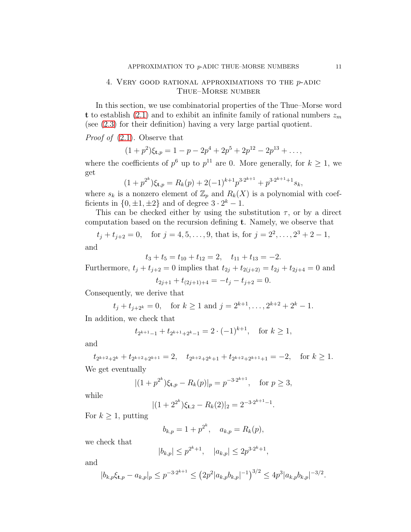# <span id="page-10-0"></span>4. Very good rational approximations to the p-adic Thue–Morse number

In this section, we use combinatorial properties of the Thue–Morse word t to establish [\(2.1\)](#page-2-1) and to exhibit an infinite family of rational numbers  $z_m$ (see [\(2.3\)](#page-2-3) for their definition) having a very large partial quotient.

Proof of [\(2.1\)](#page-2-1). Observe that

$$
(1+p^2)\xi_{\mathbf{t},p} = 1-p-2p^4+2p^5+2p^{12}-2p^{13}+\ldots,
$$

where the coefficients of  $p^6$  up to  $p^{11}$  are 0. More generally, for  $k \ge 1$ , we get

$$
(1+p^{2^k})\xi_{t,p} = R_k(p) + 2(-1)^{k+1}p^{3\cdot 2^{k+1}} + p^{3\cdot 2^{k+1}+1}s_k,
$$

where  $s_k$  is a nonzero element of  $\mathbb{Z}_p$  and  $R_k(X)$  is a polynomial with coefficients in  $\{0, \pm 1, \pm 2\}$  and of degree  $3 \cdot 2^k - 1$ .

This can be checked either by using the substitution  $\tau$ , or by a direct computation based on the recursion defining t. Namely, we observe that

 $t_j + t_{j+2} = 0$ , for  $j = 4, 5, ..., 9$ , that is, for  $j = 2^2, ..., 2^3 + 2 - 1$ ,

and

$$
t_3 + t_5 = t_{10} + t_{12} = 2, \quad t_{11} + t_{13} = -2.
$$

Furthermore,  $t_j + t_{j+2} = 0$  implies that  $t_{2j} + t_{2(j+2)} = t_{2j} + t_{2j+4} = 0$  and

$$
t_{2j+1} + t_{(2j+1)+4} = -t_j - t_{j+2} = 0.
$$

Consequently, we derive that

$$
t_j + t_{j+2^k} = 0
$$
, for  $k \ge 1$  and  $j = 2^{k+1}, \ldots, 2^{k+2} + 2^k - 1$ .

In addition, we check that

$$
t_{2^{k+1}-1} + t_{2^{k+1}+2^k-1} = 2 \cdot (-1)^{k+1}
$$
, for  $k \ge 1$ ,

and

$$
t_{2^{k+2}+2^k} + t_{2^{k+2}+2^{k+1}} = 2, \quad t_{2^{k+2}+2^k+1} + t_{2^{k+2}+2^{k+1}+1} = -2, \quad \text{for } k \ge 1.
$$
  
We get eventually

$$
y \in \text{get eventually}
$$

$$
|(1+p^{2^k})\xi_{t,p} - R_k(p)|_p = p^{-3 \cdot 2^{k+1}}, \text{ for } p \ge 3,
$$

while

$$
|(1+2^{2^k})\xi_{t,2} - R_k(2)|_2 = 2^{-3 \cdot 2^{k+1}-1}.
$$

For  $k \geq 1$ , putting

$$
b_{k,p} = 1 + p^{2^k}, \quad a_{k,p} = R_k(p),
$$

we check that

$$
|b_{k,p}| \le p^{2^k+1}, \quad |a_{k,p}| \le 2p^{3 \cdot 2^k+1},
$$

and

$$
|b_{k,p}\xi_{\mathbf{t},p} - a_{k,p}|_p \le p^{-3 \cdot 2^{k+1}} \le (2p^2 |a_{k,p}b_{k,p}|^{-1})^{3/2} \le 4p^3 |a_{k,p}b_{k,p}|^{-3/2}.
$$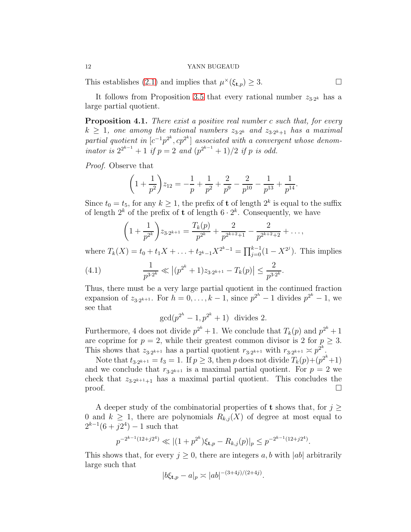This establishes [\(2.1\)](#page-2-1) and implies that  $\mu^{\times}(\xi_{t,p}) \geq 3$ .

It follows from Proposition [3.5](#page-9-0) that every rational number  $z_{3\cdot2^k}$  has a large partial quotient.

<span id="page-11-0"></span>**Proposition 4.1.** There exist a positive real number c such that, for every  $k \geq 1$ , one among the rational numbers  $z_{3\cdot2^k}$  and  $z_{3\cdot2^k+1}$  has a maximal partial quotient in  $[c^{-1}p^{2^k}, cp^{2^k}]$  associated with a convergent whose denominator is  $2^{2^{k-1}} + 1$  if  $p = 2$  and  $(p^{2^{k-1}} + 1)/2$  if p is odd.

Proof. Observe that

$$
\left(1+\frac{1}{p^2}\right)z_{12} = -\frac{1}{p} + \frac{1}{p^2} + \frac{2}{p^9} - \frac{2}{p^{10}} - \frac{1}{p^{13}} + \frac{1}{p^{14}}.
$$

Since  $t_0 = t_5$ , for any  $k \geq 1$ , the prefix of t of length  $2^k$  is equal to the suffix of length  $2^k$  of the prefix of **t** of length  $6 \cdot 2^k$ . Consequently, we have

$$
\left(1+\frac{1}{p^{2^k}}\right)z_{3\cdot 2^{k+1}} = \frac{T_k(p)}{p^{2^k}} + \frac{2}{p^{2^{k+2}+1}} - \frac{2}{p^{2^{k+2}+2}} + \dots,
$$

where  $T_k(X) = t_0 + t_1 X + \ldots + t_{2^k-1} X^{2^k-1} = \prod_{j=0}^{k-1} (1 - X^{2^j})$ . This implies

(4.1) 
$$
\frac{1}{p^{3\cdot 2^k}} \ll |(p^{2^k} + 1)z_{3\cdot 2^{k+1}} - T_k(p)| \le \frac{2}{p^{3\cdot 2^k}}.
$$

Thus, there must be a very large partial quotient in the continued fraction expansion of  $z_{3\cdot 2^{k+1}}$ . For  $h = 0, ..., k-1$ , since  $p^{2^h} - 1$  divides  $p^{2^k} - 1$ , we see that

$$
\gcd(p^{2^h}-1, p^{2^k}+1) \text{ divides } 2.
$$

Furthermore, 4 does not divide  $p^{2^k} + 1$ . We conclude that  $T_k(p)$  and  $p^{2^k} + 1$ are coprime for  $p = 2$ , while their greatest common divisor is 2 for  $p \geq 3$ . This shows that  $z_{3\cdot2^{k+1}}$  has a partial quotient  $r_{3\cdot2^{k+1}}$  with  $r_{3\cdot2^{k+1}} \geq p^{2^k}$ .

Note that  $t_{3\cdot 2^{k+1}} = t_3 = 1$ . If  $p \ge 3$ , then p does not divide  $T_k(p)+(p^{2^k}+1)$ and we conclude that  $r_{3\cdot 2^{k+1}}$  is a maximal partial quotient. For  $p=2$  we check that  $z_{3\cdot2^{k+1}+1}$  has a maximal partial quotient. This concludes the  $\Box$ 

A deeper study of the combinatorial properties of **t** shows that, for  $j \geq$ 0 and  $k \geq 1$ , there are polynomials  $R_{k,j}(X)$  of degree at most equal to  $2^{k-1}(6+j2^4) - 1$  such that

$$
p^{-2^{k-1}(12+j2^4)} \ll |(1+p^{2^k})\xi_{\mathbf{t},p} - R_{k,j}(p)|_p \le p^{-2^{k-1}(12+j2^4)}.
$$

This shows that, for every  $j \geq 0$ , there are integers a, b with  $|ab|$  arbitrarily large such that

$$
|b\xi_{\mathbf{t},p} - a|_p \asymp |ab|^{-(3+4j)/(2+4j)}.
$$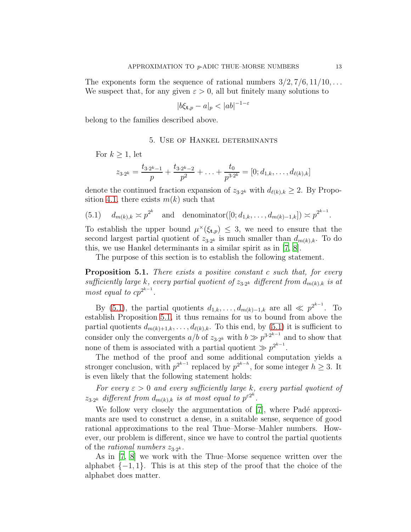The exponents form the sequence of rational numbers  $3/2$ ,  $7/6$ ,  $11/10$ , ... We suspect that, for any given  $\varepsilon > 0$ , all but finitely many solutions to

$$
|b\xi_{\mathbf{t},p} - a|_p < |ab|^{-1-\varepsilon}
$$

<span id="page-12-0"></span>belong to the families described above.

# 5. Use of Hankel determinants

For  $k \geq 1$ , let

$$
z_{3\cdot 2^k} = \frac{t_{3\cdot 2^k - 1}}{p} + \frac{t_{3\cdot 2^k - 2}}{p^2} + \ldots + \frac{t_0}{p^{3\cdot 2^k}} = [0; d_{1,k}, \ldots, d_{\ell(k),k}]
$$

denote the continued fraction expansion of  $z_{3\cdot2^k}$  with  $d_{\ell(k),k} \geq 2$ . By Propo-sition [4.1,](#page-11-0) there exists  $m(k)$  such that

<span id="page-12-1"></span>(5.1)  $d_{m(k),k} \approx p^{2^k}$  and denominator([0;  $d_{1,k}, \ldots, d_{m(k)-1,k}$ ])  $\asymp p^{2^{k-1}}$ .

To establish the upper bound  $\mu^{\times}(\xi_{t,p}) \leq 3$ , we need to ensure that the second largest partial quotient of  $z_{3\cdot2^k}$  is much smaller than  $d_{m(k),k}$ . To do this, we use Hankel determinants in a similar spirit as in [\[7,](#page-22-3) [8\]](#page-22-4).

The purpose of this section is to establish the following statement.

<span id="page-12-2"></span>Proposition 5.1. There exists a positive constant c such that, for every sufficiently large k, every partial quotient of  $z_{3.2^k}$  different from  $d_{m(k),k}$  is at most equal to  $cp^{2^{k-1}}$ .

By [\(5.1\)](#page-12-1), the partial quotients  $d_{1,k}, \ldots, d_{m(k)-1,k}$  are all  $\ll p^{2^{k-1}}$ . To establish Proposition [5.1,](#page-12-2) it thus remains for us to bound from above the partial quotients  $d_{m(k)+1,k}, \ldots, d_{\ell(k),k}$ . To this end, by [\(5.1\)](#page-12-1) it is sufficient to consider only the convergents  $a/b$  of  $z_{3\cdot2^k}$  with  $b \gg p^{3\cdot2^{k-1}}$  and to show that none of them is associated with a partial quotient  $\gg p^{2^{k-1}}$ .

The method of the proof and some additional computation yields a stronger conclusion, with  $p^{2^{k-1}}$  replaced by  $p^{2^{k-h}}$ , for some integer  $h \geq 3$ . It is even likely that the following statement holds:

For every  $\varepsilon > 0$  and every sufficiently large k, every partial quotient of  $z_{3\cdot2^k}$  different from  $d_{m(k),k}$  is at most equal to  $p^{\varepsilon 2^k}$ .

We follow very closely the argumentation of  $[7]$ , where Padé approximants are used to construct a dense, in a suitable sense, sequence of good rational approximations to the real Thue–Morse–Mahler numbers. However, our problem is different, since we have to control the partial quotients of the *rational* numbers  $z_{3 \cdot 2^k}$ .

As in [\[7](#page-22-3), [8\]](#page-22-4) we work with the Thue–Morse sequence written over the alphabet  $\{-1, 1\}$ . This is at this step of the proof that the choice of the alphabet does matter.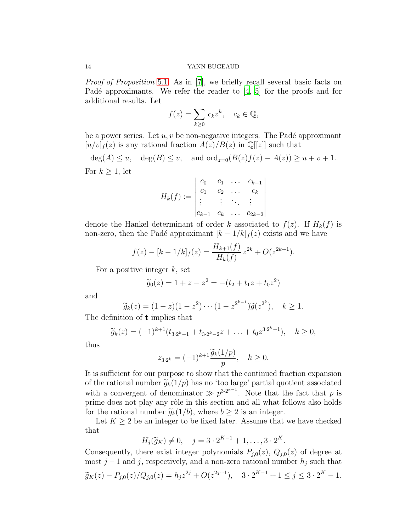Proof of Proposition [5.1](#page-12-2). As in [\[7](#page-22-3)], we briefly recall several basic facts on Padé approximants. We refer the reader to  $[4, 5]$  $[4, 5]$  for the proofs and for additional results. Let

$$
f(z) = \sum_{k \ge 0} c_k z^k, \quad c_k \in \mathbb{Q},
$$

be a power series. Let  $u, v$  be non-negative integers. The Padé approximant  $[u/v]_f(z)$  is any rational fraction  $A(z)/B(z)$  in  $\mathbb{Q}[[z]]$  such that

 $deg(A) \leq u$ ,  $deg(B) \leq v$ , and  $ord_{z=0}(B(z)f(z) - A(z)) \geq u + v + 1$ . For  $k \geq 1$ , let

$$
H_k(f) := \begin{vmatrix} c_0 & c_1 & \dots & c_{k-1} \\ c_1 & c_2 & \dots & c_k \\ \vdots & \vdots & \ddots & \vdots \\ c_{k-1} & c_k & \dots & c_{2k-2} \end{vmatrix}
$$

denote the Hankel determinant of order k associated to  $f(z)$ . If  $H_k(f)$  is non-zero, then the Padé approximant  $[k-1/k]_f(z)$  exists and we have

$$
f(z) - [k - 1/k]_f(z) = \frac{H_{k+1}(f)}{H_k(f)} z^{2k} + O(z^{2k+1}).
$$

For a positive integer  $k$ , set

$$
\widetilde{g}_0(z) = 1 + z - z^2 = -(t_2 + t_1 z + t_0 z^2)
$$

and

$$
\widetilde{g}_k(z) = (1-z)(1-z^2)\cdots(1-z^{2^{k-1}})\widetilde{g}(z^{2^k}), \quad k \ge 1.
$$

The definition of t implies that

$$
\widetilde{g}_k(z) = (-1)^{k+1} (t_{3 \cdot 2^k - 1} + t_{3 \cdot 2^k - 2} z + \ldots + t_0 z^{3 \cdot 2^k - 1}), \quad k \ge 0,
$$

thus

$$
z_{3\cdot 2^k} = (-1)^{k+1} \frac{\widetilde{g}_k(1/p)}{p}, \quad k \ge 0.
$$

It is sufficient for our purpose to show that the continued fraction expansion of the rational number  $\tilde{g}_k(1/p)$  has no 'too large' partial quotient associated with a convergent of denominator  $\gg p^{3 \cdot 2^{k-1}}$ . Note that the fact that p is prime does not play any rôle in this section and all what follows also holds for the rational number  $\tilde{g}_k(1/b)$ , where  $b \geq 2$  is an integer.

Let  $K \geq 2$  be an integer to be fixed later. Assume that we have checked that

$$
H_j(\widetilde{g}_K) \neq 0, \quad j = 3 \cdot 2^{K-1} + 1, \dots, 3 \cdot 2^K.
$$

Consequently, there exist integer polynomials  $P_{i,0}(z)$ ,  $Q_{i,0}(z)$  of degree at most j − 1 and j, respectively, and a non-zero rational number  $h_j$  such that  $\widetilde{g}_K(z) - P_{j,0}(z)/Q_{j,0}(z) = h_j z^{2j} + O(z^{2j+1}), \quad 3 \cdot 2^{K-1} + 1 \le j \le 3 \cdot 2^K - 1.$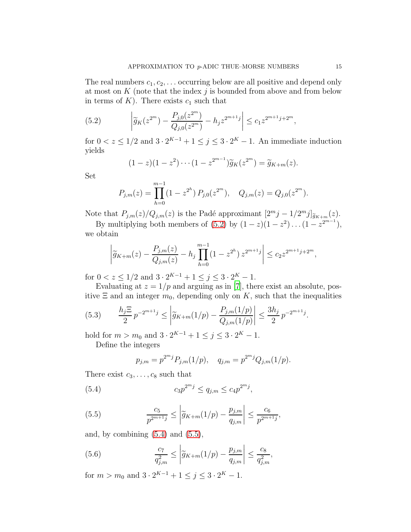The real numbers  $c_1, c_2, \ldots$  occurring below are all positive and depend only at most on  $K$  (note that the index  $j$  is bounded from above and from below in terms of  $K$ ). There exists  $c_1$  such that

(5.2) 
$$
\left| \widetilde{g}_K(z^{2^m}) - \frac{P_{j,0}(z^{2^m})}{Q_{j,0}(z^{2^m})} - h_j z^{2^{m+1}j} \right| \leq c_1 z^{2^{m+1}j + 2^m},
$$

for  $0 < z \leq 1/2$  and  $3 \cdot 2^{K-1} + 1 \leq j \leq 3 \cdot 2^{K} - 1$ . An immediate induction yields

<span id="page-14-0"></span>
$$
(1-z)(1-z^2)\cdots(1-z^{2^{m-1}})\widetilde{g}_K(z^{2^m})=\widetilde{g}_{K+m}(z).
$$

Set

$$
P_{j,m}(z) = \prod_{h=0}^{m-1} (1 - z^{2^h}) P_{j,0}(z^{2^m}), \quad Q_{j,m}(z) = Q_{j,0}(z^{2^m}).
$$

Note that  $P_{j,m}(z)/Q_{j,m}(z)$  is the Padé approximant  $[2<sup>m</sup> j - 1/2<sup>m</sup> j]_{\widetilde{g}_{K+m}}(z)$ .

By multiplying both members of  $(5.2)$  by  $(1-z)(1-z^2)\dots(1-z^{2^{m-1}})$ , we obtain

$$
\left| \widetilde{g}_{K+m}(z) - \frac{P_{j,m}(z)}{Q_{j,m}(z)} - h_j \prod_{h=0}^{m-1} (1 - z^{2^h}) z^{2^{m+1}j} \right| \le c_2 z^{2^{m+1}j + 2^m},
$$

for  $0 < z \leq 1/2$  and  $3 \cdot 2^{K-1} + 1 \leq j \leq 3 \cdot 2^{K} - 1$ .

Evaluating at  $z = 1/p$  and arguing as in [\[7](#page-22-3)], there exist an absolute, positive  $\Xi$  and an integer  $m_0$ , depending only on K, such that the inequalities

$$
(5.3) \qquad \frac{h_j \Xi}{2} p^{-2^{m+1}j} \le \left| \tilde{g}_{K+m}(1/p) - \frac{P_{j,m}(1/p)}{Q_{j,m}(1/p)} \right| \le \frac{3h_j}{2} p^{-2^{m+1}j}.
$$

hold for  $m > m_0$  and  $3 \cdot 2^{K-1} + 1 \le j \le 3 \cdot 2^{K} - 1$ .

Define the integers

<span id="page-14-2"></span><span id="page-14-1"></span>
$$
p_{j,m} = p^{2^m j} P_{j,m}(1/p), \quad q_{j,m} = p^{2^m j} Q_{j,m}(1/p).
$$

There exist  $c_3, \ldots, c_8$  such that

(5.4) 
$$
c_3 p^{2^m j} \le q_{j,m} \le c_4 p^{2^m j},
$$

(5.5) 
$$
\frac{c_5}{p^{2^{m+1}j}} \leq \left| \widetilde{g}_{K+m}(1/p) - \frac{p_{j,m}}{q_{j,m}} \right| \leq \frac{c_6}{p^{2^{m+1}j}},
$$

and, by combining  $(5.4)$  and  $(5.5)$ ,

(5.6) 
$$
\frac{c_7}{q_{j,m}^2} \le \left| \widetilde{g}_{K+m}(1/p) - \frac{p_{j,m}}{q_{j,m}} \right| \le \frac{c_8}{q_{j,m}^2},
$$

for  $m > m_0$  and  $3 \cdot 2^{K-1} + 1 \le j \le 3 \cdot 2^{K} - 1$ .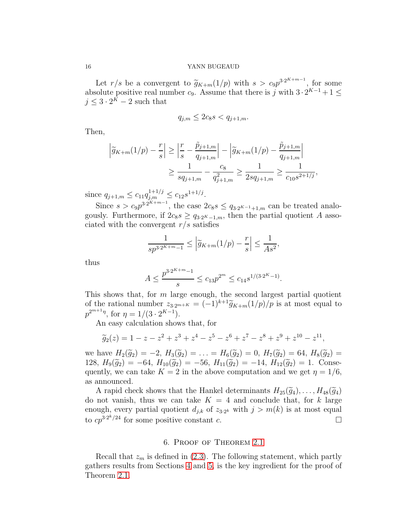Let  $r/s$  be a convergent to  $\widetilde{g}_{K+m}(1/p)$  with  $s > c_9 p^{3 \cdot 2^{K+m-1}}$ , for some absolute positive real number  $c_9$ . Assume that there is j with  $3 \cdot 2^{K-1} + 1 \le$  $j \leq 3 \cdot 2^{K} - 2$  such that

$$
q_{j,m} \le 2c_8s < q_{j+1,m}.
$$

Then,

$$
\left|\widetilde{g}_{K+m}(1/p) - \frac{r}{s}\right| \ge \left|\frac{r}{s} - \frac{\widetilde{p}_{j+1,m}}{q_{j+1,m}}\right| - \left|\widetilde{g}_{K+m}(1/p) - \frac{\widetilde{p}_{j+1,m}}{q_{j+1,m}}\right|
$$
  

$$
\ge \frac{1}{sq_{j+1,m}} - \frac{c_8}{q_{j+1,m}^2} \ge \frac{1}{2sq_{j+1,m}} \ge \frac{1}{c_{10}s^{2+1/j}},
$$

since  $q_{j+1,m} \leq c_{11} q_{j,m}^{1+1/j} \leq c_{12} s^{1+1/j}$ .

Since  $s > c_9 p^{3 \cdot 2^{K+m-1}}$ , the case  $2c_8 s \leq q_{3 \cdot 2^{K-1}+1,m}$  can be treated analogously. Furthermore, if  $2c_8s \geq q_{3.2^K-1,m}$ , then the partial quotient A associated with the convergent  $r/s$  satisfies

$$
\frac{1}{sp^{3\cdot 2^{K+m}-1}} \le \left| \tilde{g}_{K+m}(1/p) - \frac{r}{s} \right| \le \frac{1}{As^2},
$$

thus

$$
A \le \frac{p^{3 \cdot 2^{K+m}-1}}{s} \le c_{13} p^{2^m} \le c_{14} s^{1/(3 \cdot 2^{K}-1)}.
$$

This shows that, for  $m$  large enough, the second largest partial quotient of the rational number  $z_{3.2^{m+K}} = (-1)^{k+1} \widetilde{g}_{K+m}(1/p)/p$  is at most equal to  $p^{2^{m+1}\eta}$ , for  $\eta = 1/(3 \cdot 2^{K-1})$ .

An easy calculation shows that, for

$$
\widetilde{g}_2(z) = 1 - z - z^2 + z^3 + z^4 - z^5 - z^6 + z^7 - z^8 + z^9 + z^{10} - z^{11},
$$

we have  $H_2(\tilde{g}_2) = -2$ ,  $H_3(\tilde{g}_2) = \ldots = H_6(\tilde{g}_2) = 0$ ,  $H_7(\tilde{g}_2) = 64$ ,  $H_8(\tilde{g}_2) =$ 128,  $H_9(\tilde{g}_2) = -64$ ,  $H_{10}(\tilde{g}_2) = -56$ ,  $H_{11}(\tilde{g}_2) = -14$ ,  $H_{12}(\tilde{g}_2) = 1$ . Consequently, we can take  $K = 2$  in the above computation and we get  $\eta = 1/6$ , as announced.

A rapid check shows that the Hankel determinants  $H_{25}(\tilde{g}_4), \ldots, H_{48}(\tilde{g}_4)$ do not vanish, thus we can take  $K = 4$  and conclude that, for k large enough, every partial quotient  $d_{j,k}$  of  $z_{3\cdot2^k}$  with  $j > m(k)$  is at most equal to  $cp^{3 \cdot 2^{k}/24}$  for some positive constant c.

## 6. Proof of Theorem [2.1](#page-2-0)

<span id="page-15-0"></span>Recall that  $z_m$  is defined in [\(2.3\)](#page-2-3). The following statement, which partly gathers results from Sections [4](#page-10-0) and [5,](#page-12-0) is the key ingredient for the proof of Theorem [2.1.](#page-2-0)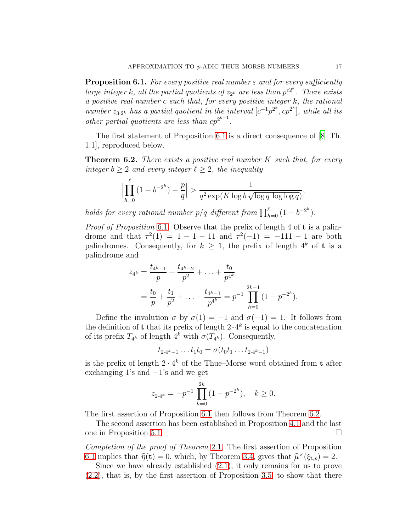<span id="page-16-1"></span>**Proposition 6.1.** For every positive real number  $\varepsilon$  and for every sufficiently large integer k, all the partial quotients of  $z_{2^k}$  are less than  $p^{\varepsilon 2^k}$ . There exists a positive real number c such that, for every positive integer k, the rational number  $z_{3\cdot2^k}$  has a partial quotient in the interval  $[c^{-1}p^{2^k}, cp^{2^k}]$ , while all its other partial quotients are less than  $cp^{2^{k-1}}$ .

The first statement of Proposition [6.1](#page-16-1) is a direct consequence of [\[8,](#page-22-4) Th. 1.1], reproduced below.

<span id="page-16-0"></span>**Theorem 6.2.** There exists a positive real number  $K$  such that, for every integer  $b \geq 2$  and every integer  $\ell \geq 2$ , the inequality

$$
\left|\prod_{h=0}^{\ell} \left(1-b^{-2^h}\right) - \frac{p}{q}\right| > \frac{1}{q^2 \exp\left(K \log b \sqrt{\log q \log \log q}\right)},
$$

holds for every rational number  $p/q$  different from  $\prod_{h=0}^{\ell} (1 - b^{-2^h}).$ 

Proof of Proposition [6.1](#page-16-1). Observe that the prefix of length 4 of t is a palindrome and that  $\tau^2(1) = 1 - 1 - 11$  and  $\tau^2(-1) = -111 - 1$  are both palindromes. Consequently, for  $k \geq 1$ , the prefix of length  $4^k$  of **t** is a palindrome and

$$
z_{4^k} = \frac{t_{4^k-1}}{p} + \frac{t_{4^k-2}}{p^2} + \ldots + \frac{t_0}{p^{4^k}}
$$
  
=  $\frac{t_0}{p} + \frac{t_1}{p^2} + \ldots + \frac{t_{4^k-1}}{p^{4^k}} = p^{-1} \prod_{h=0}^{2k-1} (1 - p^{-2^h}).$ 

Define the involution  $\sigma$  by  $\sigma(1) = -1$  and  $\sigma(-1) = 1$ . It follows from the definition of **t** that its prefix of length  $2 \cdot 4^k$  is equal to the concatenation of its prefix  $T_{4^k}$  of length  $4^k$  with  $\sigma(T_{4^k})$ . Consequently,

$$
t_{2\cdot 4^k-1} \dots t_1 t_0 = \sigma(t_0 t_1 \dots t_{2\cdot 4^k-1})
$$

is the prefix of length  $2 \cdot 4^k$  of the Thue–Morse word obtained from **t** after exchanging 1's and  $-1$ 's and we get

$$
z_{2\cdot 4^k} = -p^{-1} \prod_{h=0}^{2k} (1 - p^{-2^h}), \quad k \ge 0.
$$

The first assertion of Proposition [6.1](#page-16-1) then follows from Theorem [6.2.](#page-16-0)

The second assertion has been established in Proposition [4.1](#page-11-0) and the last one in Proposition [5.1.](#page-12-2)

Completion of the proof of Theorem [2.1](#page-2-0). The first assertion of Proposition [6.1](#page-16-1) implies that  $\hat{\eta}(\mathbf{t}) = 0$ , which, by Theorem [3.4,](#page-6-0) gives that  $\hat{\mu}^{\times}(\xi_{\mathbf{t},p}) = 2$ .

Since we have already established [\(2.1\)](#page-2-1), it only remains for us to prove [\(2.2\)](#page-2-2), that is, by the first assertion of Proposition [3.5,](#page-9-0) to show that there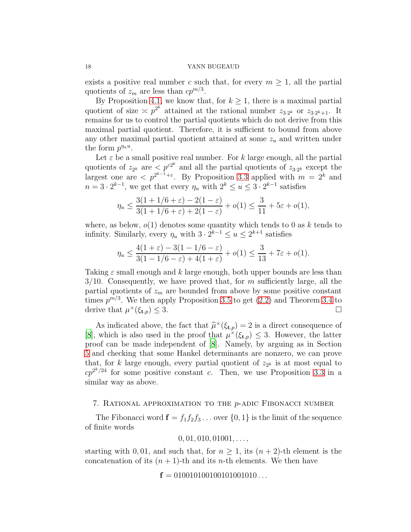exists a positive real number c such that, for every  $m \geq 1$ , all the partial quotients of  $z_m$  are less than  $cp^{m/3}$ .

By Proposition [4.1,](#page-11-0) we know that, for  $k \geq 1$ , there is a maximal partial quotient of size  $\leq p^{2^k}$  attained at the rational number  $z_{3\cdot2^k}$  or  $z_{3\cdot2^k+1}$ . It remains for us to control the partial quotients which do not derive from this maximal partial quotient. Therefore, it is sufficient to bound from above any other maximal partial quotient attained at some  $z<sub>u</sub>$  and written under the form  $p^{\eta_u u}$ .

Let  $\varepsilon$  be a small positive real number. For k large enough, all the partial quotients of  $z_{2^k}$  are  $\langle p^{\varepsilon 2^k} \rangle$  and all the partial quotients of  $z_{3\cdot 2^k}$  except the largest one are  $\langle p^{2^{k-1}+\varepsilon}$ . By Proposition [3.3](#page-6-1) applied with  $m = 2^k$  and  $n = 3 \cdot 2^{k-1}$ , we get that every  $\eta_u$  with  $2^k \le u \le 3 \cdot 2^{k-1}$  satisfies

$$
\eta_u \le \frac{3(1 + 1/6 + \varepsilon) - 2(1 - \varepsilon)}{3(1 + 1/6 + \varepsilon) + 2(1 - \varepsilon)} + o(1) \le \frac{3}{11} + 5\varepsilon + o(1),
$$

where, as below,  $o(1)$  denotes some quantity which tends to 0 as k tends to infinity. Similarly, every  $\eta_u$  with  $3 \cdot 2^{k-1} \le u \le 2^{k+1}$  satisfies

$$
\eta_u \le \frac{4(1+\varepsilon) - 3(1 - 1/6 - \varepsilon)}{3(1 - 1/6 - \varepsilon) + 4(1 + \varepsilon)} + o(1) \le \frac{3}{13} + 7\varepsilon + o(1).
$$

Taking  $\varepsilon$  small enough and k large enough, both upper bounds are less than  $3/10$ . Consequently, we have proved that, for m sufficiently large, all the partial quotients of  $z_m$  are bounded from above by some positive constant times  $p^{m/3}$ . We then apply Proposition [3.5](#page-9-0) to get  $(2.2)$  and Theorem [3.4](#page-6-0) to derive that  $\mu^{\times}(\xi_{t,p}) \leq 3$ .

As indicated above, the fact that  $\hat{\mu}^{\times}(\xi_{t,p}) = 2$  is a direct consequence of [\[8\]](#page-22-4), which is also used in the proof that  $\mu^{\times}(\xi_{t,p}) \leq 3$ . However, the latter proof can be made independent of [\[8\]](#page-22-4). Namely, by arguing as in Section [5](#page-12-0) and checking that some Hankel determinants are nonzero, we can prove that, for k large enough, every partial quotient of  $z_{2^k}$  is at most equal to  $cp^{2k/24}$  for some positive constant c. Then, we use Proposition [3.3](#page-6-1) in a similar way as above.

## <span id="page-17-0"></span>7. Rational approximation to the p-adic Fibonacci number

The Fibonacci word  $\mathbf{f} = f_1 f_2 f_3 \dots$  over  $\{0, 1\}$  is the limit of the sequence of finite words

 $0, 01, 010, 01001, \ldots,$ 

starting with 0,01, and such that, for  $n \geq 1$ , its  $(n+2)$ -th element is the concatenation of its  $(n + 1)$ -th and its *n*-th elements. We then have

 $f = 010010100100101001010...$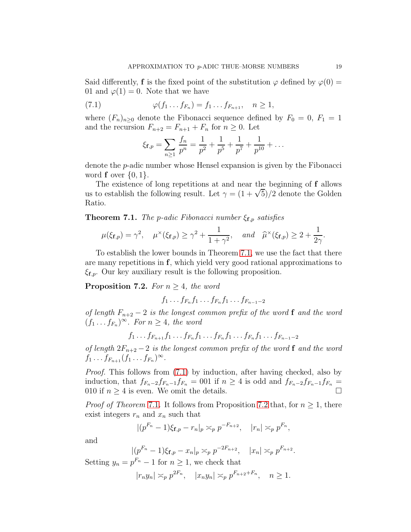Said differently, f is the fixed point of the substitution  $\varphi$  defined by  $\varphi(0)$  = 01 and  $\varphi(1) = 0$ . Note that we have

(7.1) 
$$
\varphi(f_1 \dots f_{F_n}) = f_1 \dots f_{F_{n+1}}, \quad n \ge 1,
$$

where  $(F_n)_{n\geq 0}$  denote the Fibonacci sequence defined by  $F_0 = 0, F_1 = 1$ and the recursion  $F_{n+2} = F_{n+1} + F_n$  for  $n \geq 0$ . Let

<span id="page-18-1"></span>
$$
\xi_{\mathbf{f},p} = \sum_{n\geq 1} \frac{f_n}{p^n} = \frac{1}{p^2} + \frac{1}{p^5} + \frac{1}{p^7} + \frac{1}{p^{10}} + \dots
$$

denote the p-adic number whose Hensel expansion is given by the Fibonacci word  $f$  over  $\{0, 1\}$ .

The existence of long repetitions at and near the beginning of f allows us to establish the following result. Let  $\gamma = (1 + \sqrt{5})/2$  denote the Golden Ratio.

<span id="page-18-0"></span>**Theorem 7.1.** The p-adic Fibonacci number  $\xi_{\mathbf{f},p}$  satisfies

$$
\mu(\xi_{\mathbf{f},p}) = \gamma^2, \quad \mu^\times(\xi_{\mathbf{f},p}) \ge \gamma^2 + \frac{1}{1+\gamma^2}, \quad \text{and} \quad \widehat{\mu}^\times(\xi_{\mathbf{f},p}) \ge 2 + \frac{1}{2\gamma}.
$$

To establish the lower bounds in Theorem [7.1,](#page-18-0) we use the fact that there are many repetitions in f, which yield very good rational approximations to  $\xi_{\mathbf{f},p}$ . Our key auxiliary result is the following proposition.

<span id="page-18-2"></span>**Proposition 7.2.** For  $n \geq 4$ , the word

$$
f_1 \ldots f_{F_n} f_1 \ldots f_{F_n} f_1 \ldots f_{F_{n-1}-2}
$$

of length  $F_{n+2} - 2$  is the longest common prefix of the word **f** and the word  $(f_1 \tcdot \tcdot f_{F_n})^{\infty}$ . For  $n \geq 4$ , the word

$$
f_1 \ldots f_{F_{n+1}} f_1 \ldots f_{F_n} f_1 \ldots f_{F_n} f_1 \ldots f_{F_n} f_1 \ldots f_{F_{n-1}-2}
$$

of length  $2F_{n+2} - 2$  is the longest common prefix of the word f and the word  $f_1 \ldots f_{F_{n+1}} (f_1 \ldots f_{F_n})^{\infty}$ .

Proof. This follows from [\(7.1\)](#page-18-1) by induction, after having checked, also by induction, that  $f_{F_n-2}f_{F_n-1}f_{F_n} = 001$  if  $n \geq 4$  is odd and  $f_{F_n-2}f_{F_n-1}f_{F_n} =$ 010 if  $n \geq 4$  is even. We omit the details.

*Proof of Theorem* [7.1](#page-18-0). It follows from Proposition [7.2](#page-18-2) that, for  $n \geq 1$ , there exist integers  $r_n$  and  $x_n$  such that

$$
|(p^{F_n}-1)\xi_{\mathbf{f},p}-r_n|_p \asymp_p p^{-F_{n+2}}, \quad |r_n| \asymp_p p^{F_n},
$$

and

$$
|(p^{F_n}-1)\xi_{\mathbf{f},p}-x_n|_p \approx_p p^{-2F_{n+2}}, \quad |x_n| \approx_p p^{F_{n+2}}.
$$

Setting  $y_n = p^{F_n} - 1$  for  $n \ge 1$ , we check that

$$
|r_ny_n| \asymp_p p^{2F_n}, \quad |x_ny_n| \asymp_p p^{F_{n+2}+F_n}, \quad n \ge 1.
$$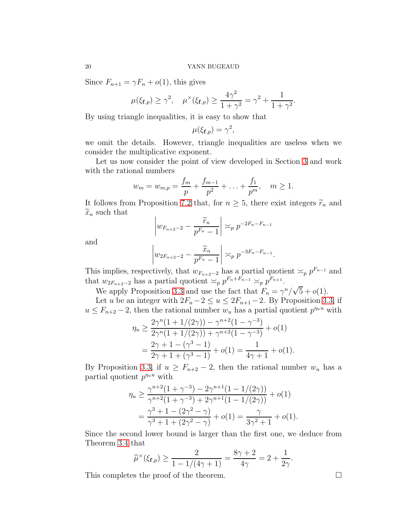Since  $F_{n+1} = \gamma F_n + o(1)$ , this gives

$$
\mu(\xi_{\mathbf{f},p}) \ge \gamma^2
$$
,  $\mu^{\times}(\xi_{\mathbf{f},p}) \ge \frac{4\gamma^2}{1+\gamma^2} = \gamma^2 + \frac{1}{1+\gamma^2}$ .

By using triangle inequalities, it is easy to show that

$$
\mu(\xi_{\mathbf{f},p})=\gamma^2,
$$

we omit the details. However, triangle inequalities are useless when we consider the multiplicative exponent.

Let us now consider the point of view developed in Section [3](#page-3-1) and work with the rational numbers

$$
w_m = w_{m,p} = \frac{f_m}{p} + \frac{f_{m-1}}{p^2} + \ldots + \frac{f_1}{p^m}, \quad m \ge 1.
$$

It follows from Proposition [7.2](#page-18-2) that, for  $n \geq 5$ , there exist integers  $\widetilde{r}_n$  and  $\widetilde{x}_n$  such that

$$
\left| w_{F_{n+2}-2} - \frac{\widetilde{r}_n}{p^{F_n} - 1} \right| \asymp_p p^{-2F_n - F_{n-1}}
$$

and

$$
\left| w_{2F_{n+2}-2} - \frac{\widetilde{x}_n}{p^{F_n} - 1} \right| \asymp_p p^{-3F_n - F_{n-1}}
$$

.

This implies, respectively, that  $w_{F_{n+2}-2}$  has a partial quotient  $\asymp_p p^{F_{n-1}}$  and that  $w_{2F_{n+2}-2}$  has a partial quotient  $\asymp_p p^{F_n+F_{n-1}} \asymp_p p^{F_{n+1}}$ .

We apply Proposition [3.3](#page-6-1) and use the fact that  $F_n = \gamma^n / \sqrt{5} + o(1)$ .

Let u be an integer with  $2F_n - 2 \le u \le 2F_{n+1} - 2$ . By Proposition [3.3,](#page-6-1) if  $u \leq F_{n+2} - 2$ , then the rational number  $w_u$  has a partial quotient  $p^{\eta_u u}$  with

$$
\eta_u \ge \frac{2\gamma^n (1 + 1/(2\gamma)) - \gamma^{n+2} (1 - \gamma^{-3})}{2\gamma^n (1 + 1/(2\gamma)) + \gamma^{n+2} (1 - \gamma^{-3})} + o(1)
$$
  
= 
$$
\frac{2\gamma + 1 - (\gamma^3 - 1)}{2\gamma + 1 + (\gamma^3 - 1)} + o(1) = \frac{1}{4\gamma + 1} + o(1).
$$

By Proposition [3.3,](#page-6-1) if  $u \geq F_{n+2} - 2$ , then the rational number  $w_u$  has a partial quotient  $p^{n_u}$  with

$$
\eta_u \ge \frac{\gamma^{n+2} (1 + \gamma^{-3}) - 2\gamma^{n+1} (1 - 1/(2\gamma))}{\gamma^{n+2} (1 + \gamma^{-3}) + 2\gamma^{n+1} (1 - 1/(2\gamma))} + o(1)
$$
  
= 
$$
\frac{\gamma^3 + 1 - (2\gamma^2 - \gamma)}{\gamma^3 + 1 + (2\gamma^2 - \gamma)} + o(1) = \frac{\gamma}{3\gamma^2 + 1} + o(1).
$$

Since the second lower bound is larger than the first one, we deduce from Theorem [3.4](#page-6-0) that

$$
\widehat{\mu}^{\times}(\xi_{\mathbf{f},p}) \ge \frac{2}{1 - 1/(4\gamma + 1)} = \frac{8\gamma + 2}{4\gamma} = 2 + \frac{1}{2\gamma}.
$$

This completes the proof of the theorem.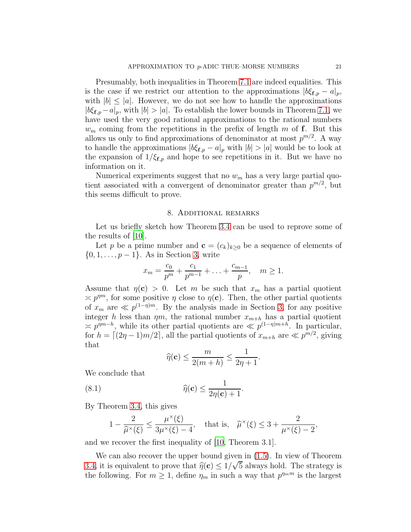Presumably, both inequalities in Theorem [7.1](#page-18-0) are indeed equalities. This is the case if we restrict our attention to the approximations  $|b\xi_{\mathbf{f},p} - a|_p$ , with  $|b| \leq |a|$ . However, we do not see how to handle the approximations  $|b\xi_{\mathbf{f},p}-a|_p$ , with  $|b|>|a|$ . To establish the lower bounds in Theorem [7.1,](#page-18-0) we have used the very good rational approximations to the rational numbers  $w_m$  coming from the repetitions in the prefix of length m of f. But this allows us only to find approximations of denominator at most  $p^{m/2}$ . A way to handle the approximations  $|b\xi_{\mathbf{f},p} - a|_p$  with  $|b| > |a|$  would be to look at the expansion of  $1/\xi_{\mathbf{f},p}$  and hope to see repetitions in it. But we have no information on it.

Numerical experiments suggest that no  $w_m$  has a very large partial quotient associated with a convergent of denominator greater than  $p^{m/2}$ , but this seems difficult to prove.

### 8. Additional remarks

Let us briefly sketch how Theorem [3.4](#page-6-0) can be used to reprove some of the results of [\[10](#page-23-0)].

Let p be a prime number and  $\mathbf{c} = (c_k)_{k>0}$  be a sequence of elements of  $\{0, 1, \ldots, p-1\}$ . As in Section [3,](#page-3-1) write

$$
x_m = \frac{c_0}{p^m} + \frac{c_1}{p^{m-1}} + \ldots + \frac{c_{m-1}}{p}, \quad m \ge 1.
$$

Assume that  $\eta(c) > 0$ . Let m be such that  $x_m$  has a partial quotient  $\approx p^{\eta m}$ , for some positive  $\eta$  close to  $\eta(c)$ . Then, the other partial quotients of  $x_m$  are  $\ll p^{(1-\eta)m}$ . By the analysis made in Section [3,](#page-3-1) for any positive integer h less than  $\eta m$ , the rational number  $x_{m+h}$  has a partial quotient  $\approx p^{nm-h}$ , while its other partial quotients are  $\ll p^{(1-\eta)m+h}$ . In particular, for  $h = \lfloor (2\eta - 1)m/2 \rfloor$ , all the partial quotients of  $x_{m+h}$  are  $\ll p^{m/2}$ , giving that

$$
\widehat{\eta}(\mathbf{c}) \le \frac{m}{2(m+h)} \le \frac{1}{2\eta + 1}.
$$

We conclude that

(8.1) 
$$
\widehat{\eta}(\mathbf{c}) \leq \frac{1}{2\eta(\mathbf{c})+1}.
$$

By Theorem [3.4,](#page-6-0) this gives

$$
1 - \frac{2}{\widehat{\mu}^{\times}(\xi)} \le \frac{\mu^{\times}(\xi)}{3\mu^{\times}(\xi) - 4}, \quad \text{that is,} \quad \widehat{\mu}^{\times}(\xi) \le 3 + \frac{2}{\mu^{\times}(\xi) - 2},
$$

and we recover the first inequality of [\[10,](#page-23-0) Theorem 3.1].

We can also recover the upper bound given in [\(1.5\)](#page-1-2). In view of Theorem [3.4,](#page-6-0) it is equivalent to prove that  $\hat{\eta}(\mathbf{c}) \leq 1/\sqrt{5}$  always hold. The strategy is the following. For  $m \geq 1$ , define  $\eta_m$  in such a way that  $p^{m_m}$  is the largest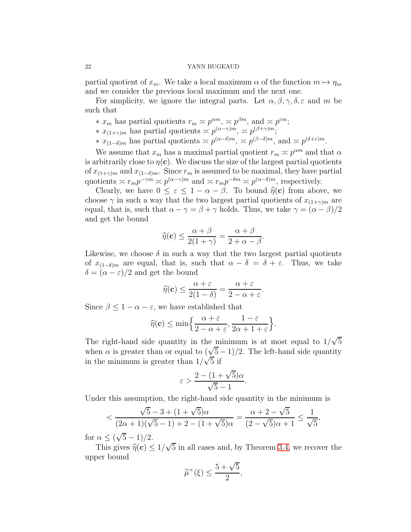partial quotient of  $x_m$ . We take a local maximum  $\alpha$  of the function  $m \mapsto \eta_m$ and we consider the previous local maximum and the next one.

For simplicity, we ignore the integral parts. Let  $\alpha, \beta, \gamma, \delta, \varepsilon$  and m be such that

- **\***  $x_m$  has partial quotients  $r_m ≳ p^{\alpha m}$ ,  $\approx p^{\beta m}$ , and  $\approx p^{\varepsilon m}$ ;
- \*  $x_{(1+\gamma)m}$  has partial quotients  $\approx p^{(\alpha-\gamma)m}$ ,  $\approx p^{(\beta+\gamma)m}$ ;
- <sup>\*</sup>  $x_{(1-\delta)m}$  has partial quotients  $\asymp p^{(\alpha-\delta)m}$ ,  $\asymp p^{(\beta-\delta)m}$ , and  $\asymp p^{(\delta+\varepsilon)m}$ .

We assume that  $x_m$  has a maximal partial quotient  $r_m \approx p^{\alpha m}$  and that  $\alpha$ is arbitrarily close to  $\eta(c)$ . We discuss the size of the largest partial quotients of  $x_{(1+\gamma)m}$  and  $x_{(1-\delta)m}$ . Since  $r_m$  is assumed to be maximal, they have partial quotients  $\asymp r_m p^{-\gamma m} \asymp p^{(\alpha-\gamma)m}$  and  $\asymp r_m p^{-\delta m} \asymp p^{(\alpha-\delta)m}$ , respectively.

Clearly, we have  $0 \leq \varepsilon \leq 1 - \alpha - \beta$ . To bound  $\hat{\eta}(\mathbf{c})$  from above, we choose  $\gamma$  in such a way that the two largest partial quotients of  $x_{(1+\gamma)m}$  are equal, that is, such that  $\alpha - \gamma = \beta + \gamma$  holds. Thus, we take  $\gamma = (\alpha - \beta)/2$ and get the bound

$$
\widehat{\eta}(\mathbf{c}) \le \frac{\alpha + \beta}{2(1 + \gamma)} = \frac{\alpha + \beta}{2 + \alpha - \beta}.
$$

Likewise, we choose  $\delta$  in such a way that the two largest partial quotients of  $x_{(1-\delta)m}$  are equal, that is, such that  $\alpha - \delta = \delta + \varepsilon$ . Thus, we take  $\delta = (\alpha - \varepsilon)/2$  and get the bound

$$
\widehat{\eta}(\mathbf{c}) \le \frac{\alpha + \varepsilon}{2(1 - \delta)} = \frac{\alpha + \varepsilon}{2 - \alpha + \varepsilon}.
$$

Since  $\beta \leq 1 - \alpha - \varepsilon$ , we have established that

$$
\widehat{\eta}(\mathbf{c}) \le \min\left\{\frac{\alpha+\varepsilon}{2-\alpha+\varepsilon}, \frac{1-\varepsilon}{2\alpha+1+\varepsilon}\right\}.
$$

The right-hand side quantity in the minimum is at most equal to  $1/\sqrt{5}$ when  $\alpha$  is greater than or equal to  $(\sqrt{5}-1)/2$ . The left-hand side quantity in the minimum is greater than  $1/\sqrt{5}$  if

$$
\varepsilon > \frac{2 - (1 + \sqrt{5})\alpha}{\sqrt{5} - 1}.
$$

Under this assumption, the right-hand side quantity in the minimum is

$$
< \frac{\sqrt{5} - 3 + (1 + \sqrt{5})\alpha}{(2\alpha + 1)(\sqrt{5} - 1) + 2 - (1 + \sqrt{5})\alpha} = \frac{\alpha + 2 - \sqrt{5}}{(2 - \sqrt{5})\alpha + 1} \le \frac{1}{\sqrt{5}},
$$

for  $\alpha \le (\sqrt{5}-1)/2$ .

This gives  $\hat{\eta}(\mathbf{c}) \le 1/\sqrt{5}$  in all cases and, by Theorem [3.4,](#page-6-0) we recover the upper bound

$$
\widehat{\mu}^{\times}(\xi) \le \frac{5+\sqrt{5}}{2},
$$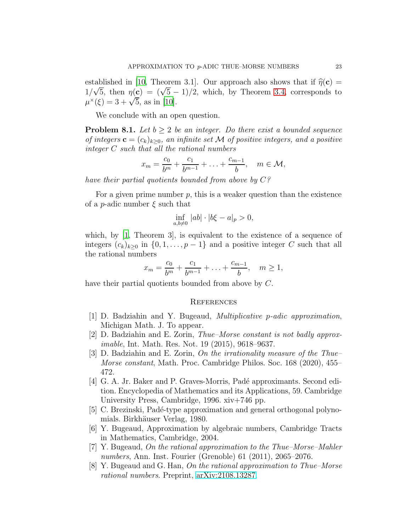established in [\[10,](#page-23-0) Theorem 3.1]. Our approach also shows that if  $\hat{\eta}(\mathbf{c}) =$  $1/\sqrt{5}$ , then  $\eta(\mathbf{c}) = (\sqrt{5} - 1)/2$ , which, by Theorem [3.4,](#page-6-0) corresponds to  $\mu^{\times}(\xi) = 3 + \sqrt{5}$ , as in [\[10\]](#page-23-0).

We conclude with an open question.

**Problem 8.1.** Let  $b \geq 2$  be an integer. Do there exist a bounded sequence of integers  $\mathbf{c} = (c_k)_{k>0}$ , an infinite set M of positive integers, and a positive integer C such that all the rational numbers

$$
x_m = \frac{c_0}{b^m} + \frac{c_1}{b^{m-1}} + \ldots + \frac{c_{m-1}}{b}, \quad m \in \mathcal{M},
$$

have their partial quotients bounded from above by  $C$ ?

For a given prime number  $p$ , this is a weaker question than the existence of a *p*-adic number  $\xi$  such that

$$
\inf_{a,b\neq 0} |ab| \cdot |b\xi - a|_{p} > 0,
$$

which, by [\[1](#page-22-0), Theorem 3], is equivalent to the existence of a sequence of integers  $(c_k)_{k>0}$  in  $\{0, 1, \ldots, p-1\}$  and a positive integer C such that all the rational numbers

$$
x_m = \frac{c_0}{b^m} + \frac{c_1}{b^{m-1}} + \ldots + \frac{c_{m-1}}{b}, \quad m \ge 1,
$$

have their partial quotients bounded from above by C.

### **REFERENCES**

- <span id="page-22-0"></span>[1] D. Badziahin and Y. Bugeaud, Multiplicative p-adic approximation, Michigan Math. J. To appear.
- <span id="page-22-1"></span>[2] D. Badziahin and E. Zorin, *Thue–Morse constant is not badly approx*imable, Int. Math. Res. Not. 19 (2015), 9618–9637.
- <span id="page-22-2"></span>[3] D. Badziahin and E. Zorin, On the irrationality measure of the Thue– Morse constant, Math. Proc. Cambridge Philos. Soc. 168 (2020), 455– 472.
- <span id="page-22-6"></span>[4] G. A. Jr. Baker and P. Graves-Morris, Padé approximants. Second edition. Encyclopedia of Mathematics and its Applications, 59. Cambridge University Press, Cambridge, 1996. xiv+746 pp.
- <span id="page-22-7"></span>[5] C. Brezinski, Padé-type approximation and general orthogonal polynomials. Birkhäuser Verlag, 1980.
- <span id="page-22-5"></span>[6] Y. Bugeaud, Approximation by algebraic numbers, Cambridge Tracts in Mathematics, Cambridge, 2004.
- <span id="page-22-3"></span>[7] Y. Bugeaud, On the rational approximation to the Thue–Morse–Mahler numbers, Ann. Inst. Fourier (Grenoble) 61 (2011), 2065–2076.
- <span id="page-22-4"></span>[8] Y. Bugeaud and G. Han, On the rational approximation to Thue–Morse rational numbers. Preprint, [arXiv:2108.13287.](http://arxiv.org/abs/2108.13287)